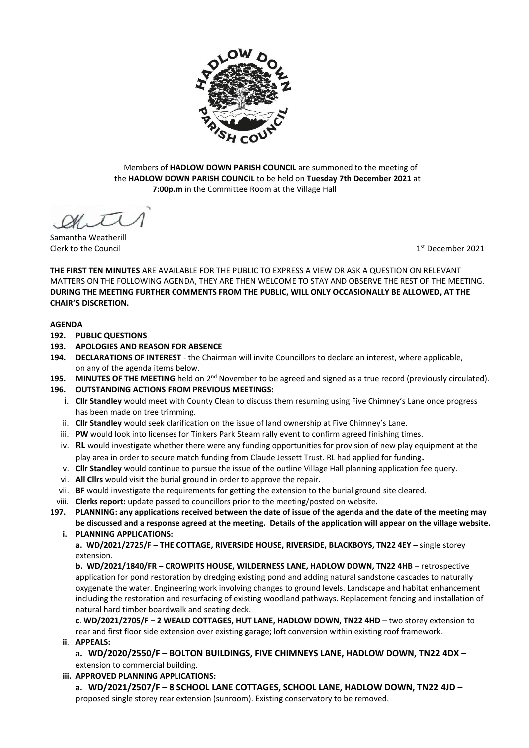

Members of **HADLOW DOWN PARISH COUNCIL** are summoned to the meeting of the **HADLOW DOWN PARISH COUNCIL** to be held on **Tuesday 7th December 2021** at  **7:00p.m** in the Committee Room at the Village Hall

Samantha Weatherill Clerk to the Council 1

 $1<sup>st</sup>$  December 2021

**THE FIRST TEN MINUTES** ARE AVAILABLE FOR THE PUBLIC TO EXPRESS A VIEW OR ASK A QUESTION ON RELEVANT MATTERS ON THE FOLLOWING AGENDA, THEY ARE THEN WELCOME TO STAY AND OBSERVE THE REST OF THE MEETING. **DURING THE MEETING FURTHER COMMENTS FROM THE PUBLIC, WILL ONLY OCCASIONALLY BE ALLOWED, AT THE CHAIR'S DISCRETION.**

### **AGENDA**

- **192. PUBLIC QUESTIONS**
- **193. APOLOGIES AND REASON FOR ABSENCE**
- **194. DECLARATIONS OF INTEREST** the Chairman will invite Councillors to declare an interest, where applicable, on any of the agenda items below.
- 195. MINUTES OF THE MEETING held on 2<sup>nd</sup> November to be agreed and signed as a true record (previously circulated).
- **196. OUTSTANDING ACTIONS FROM PREVIOUS MEETINGS:**
	- i. **Cllr Standley** would meet with County Clean to discuss them resuming using Five Chimney's Lane once progress has been made on tree trimming.
	- ii. **Cllr Standley** would seek clarification on the issue of land ownership at Five Chimney's Lane.
	- iii. **PW** would look into licenses for Tinkers Park Steam rally event to confirm agreed finishing times.
	- iv. **RL** would investigate whether there were any funding opportunities for provision of new play equipment at the play area in order to secure match funding from Claude Jessett Trust. RL had applied for funding**.**
	- v. **Cllr Standley** would continue to pursue the issue of the outline Village Hall planning application fee query.
	- vi. **All Cllrs** would visit the burial ground in order to approve the repair.
	- vii. **BF** would investigate the requirements for getting the extension to the burial ground site cleared.
	- viii. **Clerks report:** update passed to councillors prior to the meeting/posted on website.
- **197. PLANNING: any applications received between the date of issue of the agenda and the date of the meeting may be discussed and a response agreed at the meeting. Details of the application will appear on the village website.** 
	- **i. PLANNING APPLICATIONS:**

**a. WD/2021/2725/F – THE COTTAGE, RIVERSIDE HOUSE, RIVERSIDE, BLACKBOYS, TN22 4EY –** single storey extension.

**b. WD/2021/1840/FR – CROWPITS HOUSE, WILDERNESS LANE, HADLOW DOWN, TN22 4HB** – retrospective application for pond restoration by dredging existing pond and adding natural sandstone cascades to naturally oxygenate the water. Engineering work involving changes to ground levels. Landscape and habitat enhancement including the restoration and resurfacing of existing woodland pathways. Replacement fencing and installation of natural hard timber boardwalk and seating deck.

**c**. **WD/2021/2705/F – 2 WEALD COTTAGES, HUT LANE, HADLOW DOWN, TN22 4HD** – two storey extension to rear and first floor side extension over existing garage; loft conversion within existing roof framework.

- **ii**. **APPEALS:**
	- **a. WD/2020/2550/F – BOLTON BUILDINGS, FIVE CHIMNEYS LANE, HADLOW DOWN, TN22 4DX –** extension to commercial building.
- **iii. APPROVED PLANNING APPLICATIONS:**

**a. WD/2021/2507/F – 8 SCHOOL LANE COTTAGES, SCHOOL LANE, HADLOW DOWN, TN22 4JD –** proposed single storey rear extension (sunroom). Existing conservatory to be removed.